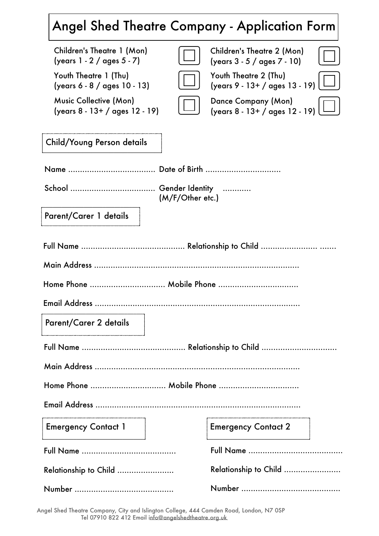# $\big|\!$  Angel Shed Theatre Company - Application Form $\big|$

| Children's Theatre 1 (Mon)<br>(years 1 - 2 / ages 5 - 7)        |  | Children's Theatre 2 (Mon)<br>(years 3 - 5 / ages 7 - 10) |  |  |  |  |  |  |
|-----------------------------------------------------------------|--|-----------------------------------------------------------|--|--|--|--|--|--|
| Youth Theatre 1 (Thu)<br>(years 6 - 8 / ages 10 - 13)           |  | Youth Theatre 2 (Thu)<br>(years 9 - 13+ / ages 13 - 19)   |  |  |  |  |  |  |
| <b>Music Collective (Mon)</b><br>(years 8 - 13+ / ages 12 - 19) |  | Dance Company (Mon)<br>(years 8 - 13+ / ages 12 - 19)     |  |  |  |  |  |  |
| Child/Young Person details                                      |  |                                                           |  |  |  |  |  |  |
|                                                                 |  |                                                           |  |  |  |  |  |  |
| (M/F/Other etc.)                                                |  |                                                           |  |  |  |  |  |  |
| Parent/Carer 1 details                                          |  |                                                           |  |  |  |  |  |  |
|                                                                 |  |                                                           |  |  |  |  |  |  |
|                                                                 |  |                                                           |  |  |  |  |  |  |
|                                                                 |  |                                                           |  |  |  |  |  |  |
|                                                                 |  |                                                           |  |  |  |  |  |  |
| Parent/Carer 2 details                                          |  |                                                           |  |  |  |  |  |  |
|                                                                 |  |                                                           |  |  |  |  |  |  |
|                                                                 |  |                                                           |  |  |  |  |  |  |
| Home Phone  Mobile Phone                                        |  |                                                           |  |  |  |  |  |  |
|                                                                 |  |                                                           |  |  |  |  |  |  |
| <b>Emergency Contact 1</b>                                      |  | <b>Emergency Contact 2</b>                                |  |  |  |  |  |  |
|                                                                 |  |                                                           |  |  |  |  |  |  |
| <b>Relationship to Child </b>                                   |  | Relationship to Child                                     |  |  |  |  |  |  |
|                                                                 |  |                                                           |  |  |  |  |  |  |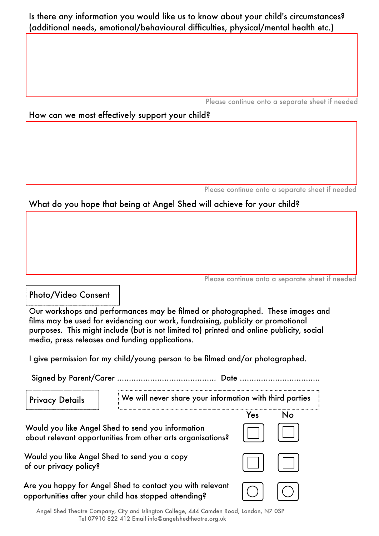## Is there any information you would like us to know about your child's circumstances? (additional needs, emotional/behavioural difficulties, physical/mental health etc.)

Please continue onto a separate sheet if needed

#### How can we most effectively support your child?

Please continue onto a separate sheet if needed

# What do you hope that being at Angel Shed will achieve for your child?

|  |  | Please continue onto a separate sheet if needed |  |  |
|--|--|-------------------------------------------------|--|--|

# **Photo/Video Consent**

Our workshops and performances may be filmed or photographed. These images and films may be used for evidencing our work, fundraising, publicity or promotional purposes. This might include (but is not limited to) printed and online publicity, social media, press releases and funding applications.

I give permission for my child/young person to be filmed and/or photographed.

We will never share your information with third parties **Privacy Details** in the contract of the contract of the contract of the contract of the contract of the contract of the contract of the contract of the contract of the contract of the contract of the contract of the contract of the contrac Yes  $No$ 

Would you like Angel Shed to send you information about relevant opportunities from other arts organisations?

Would you like Angel Shed to send you a copy of our privacy policy?

Are you happy for Angel Shed to contact you with relevant opportunities after your child has stopped attending?





Angel Shed Theatre Company, City and Islington College, 444 Camden Road, London, N7 0SP Tel 07910 822 412 Email info@angelshedtheatre.org.uk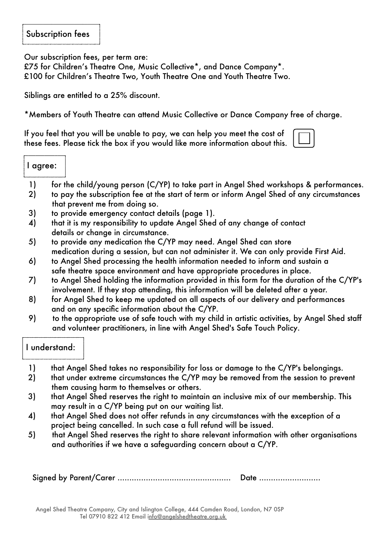## Subscription fees

Our subscription fees, per term are:

£75 for Children's Theatre One, Music Collective\*, and Dance Company\*. £100 for Children's Theatre Two, Youth Theatre One and Youth Theatre Two.

Siblings are entitled to a 25% discount.

\*Members of Youth Theatre can attend Music Collective or Dance Company free of charge.

If you feel that you will be unable to pay, we can help you meet the cost of these fees. Please tick the box if you would like more information about this.

- 1) for the child/young person (C/YP) to take part in Angel Shed workshops & performances.
- 2) to pay the subscription fee at the start of term or inform Angel Shed of any circumstances that prevent me from doing so.
- 3) to provide emergency contact details (page 1).
- 4) that it is my responsibility to update Angel Shed of any change of contact details or change in circumstance.
- 5) to provide any medication the C/YP may need. Angel Shed can store medication during a session, but can not administer it. We can only provide First Aid.
- 6) to Angel Shed processing the health information needed to inform and sustain a safe theatre space environment and have appropriate procedures in place.
- 7) to Angel Shed holding the information provided in this form for the duration of the C/YP's involvement. If they stop attending, this information will be deleted after a year.
- 8) for Angel Shed to keep me updated on all aspects of our delivery and performances and on any specific information about the C/YP.
- 9) to the appropriate use of safe touch with my child in artistic activities, by Angel Shed staff and volunteer practitioners, in line with Angel Shed's Safe Touch Policy.

#### I understand:

- 1) that Angel Shed takes no responsibility for loss or damage to the C/YP's belongings.
- 2) that under extreme circumstances the C/YP may be removed from the session to prevent them causing harm to themselves or others.
- 3) that Angel Shed reserves the right to maintain an inclusive mix of our membership. This may result in a C/YP being put on our waiting list.
- 4) that Angel Shed does not offer refunds in any circumstances with the exception of a project being cancelled. In such case a full refund will be issued.
- .) that Angel Shed reserves the right to share relevant information with other organisations and authorities if we have a safeguarding concern about a C/YP.

Signed by Parent/Carer ................................................ Date ..........................